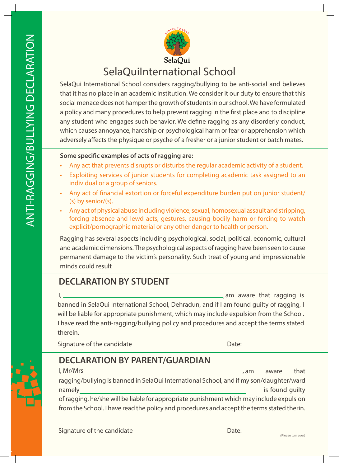

SelaQui International School considers ragging/bullying to be anti-social and believes that it has no place in an academic institution. We consider it our duty to ensure that this social menace does not hamper the growth of students in our school. We have formulated a policy and many procedures to help prevent ragging in the first place and to discipline any student who engages such behavior. We define ragging as any disorderly conduct, which causes annoyance, hardship or psychological harm or fear or apprehension which adversely affects the physique or psyche of a fresher or a junior student or batch mates.

### **Some specific examples of acts of ragging are:**

- Any act that prevents disrupts or disturbs the regular academic activity of a student.
- Exploiting services of junior students for completing academic task assigned to an individual or a group of seniors.
- Any act of financial extortion or forceful expenditure burden put on junior student/ (s) by senior/(s).
- Any act of physical abuse including violence, sexual, homosexual assault and stripping, forcing absence and lewd acts, gestures, causing bodily harm or forcing to watch explicit/pornographic material or any other danger to health or person.

Ragging has several aspects including psychological, social, political, economic, cultural and academic dimensions. The psychological aspects of ragging have been seen to cause permanent damage to the victim's personality. Such treat of young and impressionable minds could result

# **DECLARATION BY STUDENT**

 am aware that ragging is banned in SelaQui International School, Dehradun, and if I am found guilty of ragging, I will be liable for appropriate punishment, which may include expulsion from the School. I have read the anti-ragging/bullying policy and procedures and accept the terms stated therein.  $\mathsf{I}_1$  , and the contract of the contract of the contract of the contract of the contract of the contract of the contract of the contract of the contract of the contract of the contract of the contract of the contract

Signature of the candidate

Date:

## **DECLARATION BY PARENT/GUARDIAN**

 am aware that ragging/bullying is banned in SelaQui International School, and if my son/daughter/ward namely is found guilty of ragging, he/she will be liable for appropriate punishment which may include expulsion from the School. I have read the policy and procedures and accept the terms stated therin. I, Mr/Mrs ,

Signature of the candidate